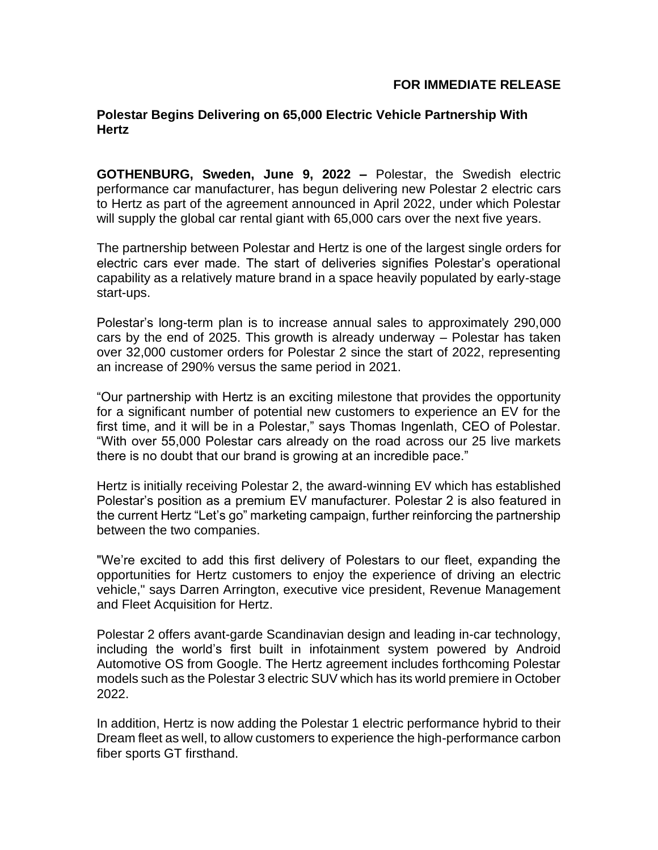# **FOR IMMEDIATE RELEASE**

# **Polestar Begins Delivering on 65,000 Electric Vehicle Partnership With Hertz**

**GOTHENBURG, Sweden, June 9, 2022 –** Polestar, the Swedish electric performance car manufacturer, has begun delivering new Polestar 2 electric cars to Hertz as part of the agreement announced in April 2022, under which Polestar will supply the global car rental giant with 65,000 cars over the next five years.

The partnership between Polestar and Hertz is one of the largest single orders for electric cars ever made. The start of deliveries signifies Polestar's operational capability as a relatively mature brand in a space heavily populated by early-stage start-ups.

Polestar's long-term plan is to increase annual sales to approximately 290,000 cars by the end of 2025. This growth is already underway – Polestar has taken over 32,000 customer orders for Polestar 2 since the start of 2022, representing an increase of 290% versus the same period in 2021.

"Our partnership with Hertz is an exciting milestone that provides the opportunity for a significant number of potential new customers to experience an EV for the first time, and it will be in a Polestar," says Thomas Ingenlath, CEO of Polestar. "With over 55,000 Polestar cars already on the road across our 25 live markets there is no doubt that our brand is growing at an incredible pace."

Hertz is initially receiving Polestar 2, the award-winning EV which has established Polestar's position as a premium EV manufacturer. Polestar 2 is also featured in the current Hertz "Let's go" marketing campaign, further reinforcing the partnership between the two companies.

"We're excited to add this first delivery of Polestars to our fleet, expanding the opportunities for Hertz customers to enjoy the experience of driving an electric vehicle," says Darren Arrington, executive vice president, Revenue Management and Fleet Acquisition for Hertz.

Polestar 2 offers avant-garde Scandinavian design and leading in-car technology, including the world's first built in infotainment system powered by Android Automotive OS from Google. The Hertz agreement includes forthcoming Polestar models such as the Polestar 3 electric SUV which has its world premiere in October 2022.

In addition, Hertz is now adding the Polestar 1 electric performance hybrid to their Dream fleet as well, to allow customers to experience the high-performance carbon fiber sports GT firsthand.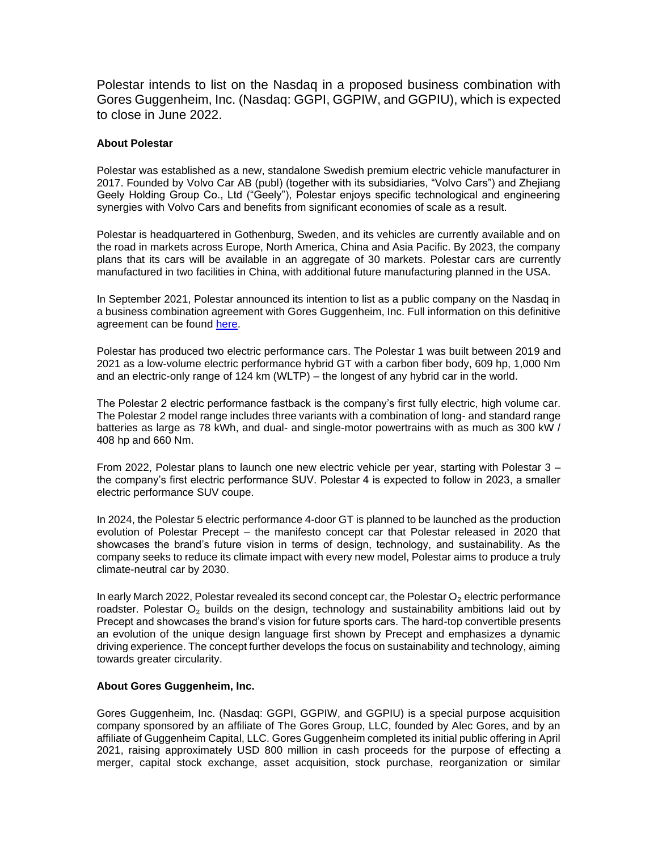Polestar intends to list on the Nasdaq in a proposed business combination with Gores Guggenheim, Inc. (Nasdaq: GGPI, GGPIW, and GGPIU), which is expected to close in June 2022.

### **About Polestar**

Polestar was established as a new, standalone Swedish premium electric vehicle manufacturer in 2017. Founded by Volvo Car AB (publ) (together with its subsidiaries, "Volvo Cars") and Zhejiang Geely Holding Group Co., Ltd ("Geely"), Polestar enjoys specific technological and engineering synergies with Volvo Cars and benefits from significant economies of scale as a result.

Polestar is headquartered in Gothenburg, Sweden, and its vehicles are currently available and on the road in markets across Europe, North America, China and Asia Pacific. By 2023, the company plans that its cars will be available in an aggregate of 30 markets. Polestar cars are currently manufactured in two facilities in China, with additional future manufacturing planned in the USA.

In September 2021, Polestar announced its intention to list as a public company on the Nasdaq in a business combination agreement with Gores Guggenheim, Inc. Full information on this definitive agreement can be found [here.](https://media.polestar.com/global/en/media/pressreleases/638625)

Polestar has produced two electric performance cars. The Polestar 1 was built between 2019 and 2021 as a low-volume electric performance hybrid GT with a carbon fiber body, 609 hp, 1,000 Nm and an electric-only range of 124 km (WLTP) – the longest of any hybrid car in the world.

The Polestar 2 electric performance fastback is the company's first fully electric, high volume car. The Polestar 2 model range includes three variants with a combination of long- and standard range batteries as large as 78 kWh, and dual- and single-motor powertrains with as much as 300 kW / 408 hp and 660 Nm.

From 2022, Polestar plans to launch one new electric vehicle per year, starting with Polestar 3 – the company's first electric performance SUV. Polestar 4 is expected to follow in 2023, a smaller electric performance SUV coupe.

In 2024, the Polestar 5 electric performance 4-door GT is planned to be launched as the production evolution of Polestar Precept – the manifesto concept car that Polestar released in 2020 that showcases the brand's future vision in terms of design, technology, and sustainability. As the company seeks to reduce its climate impact with every new model, Polestar aims to produce a truly climate-neutral car by 2030.

In early March 2022, Polestar revealed its second concept car, the Polestar  $O<sub>2</sub>$  electric performance roadster. Polestar  $O<sub>2</sub>$  builds on the design, technology and sustainability ambitions laid out by Precept and showcases the brand's vision for future sports cars. The hard-top convertible presents an evolution of the unique design language first shown by Precept and emphasizes a dynamic driving experience. The concept further develops the focus on sustainability and technology, aiming towards greater circularity.

### **About Gores Guggenheim, Inc.**

Gores Guggenheim, Inc. (Nasdaq: GGPI, GGPIW, and GGPIU) is a special purpose acquisition company sponsored by an affiliate of The Gores Group, LLC, founded by Alec Gores, and by an affiliate of Guggenheim Capital, LLC. Gores Guggenheim completed its initial public offering in April 2021, raising approximately USD 800 million in cash proceeds for the purpose of effecting a merger, capital stock exchange, asset acquisition, stock purchase, reorganization or similar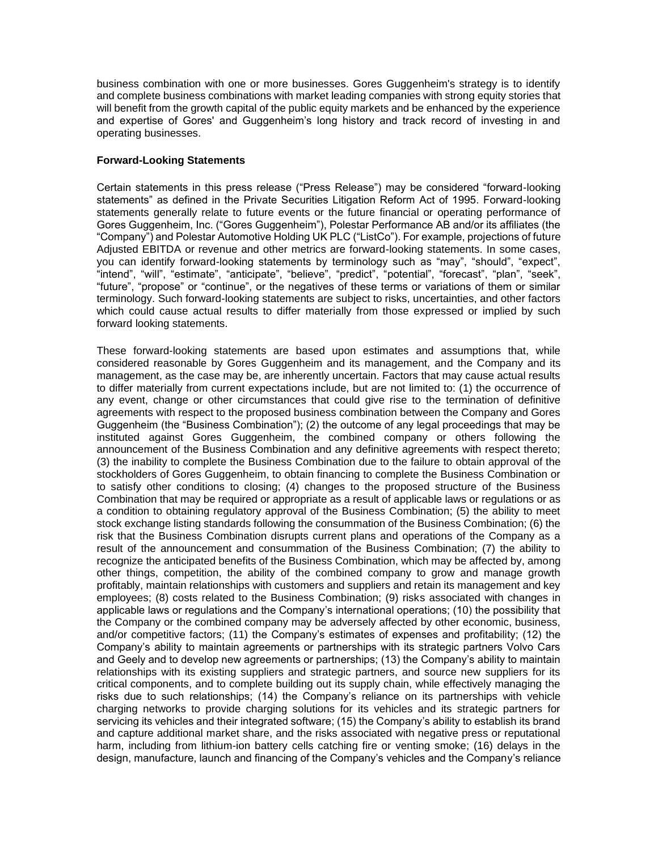business combination with one or more businesses. Gores Guggenheim's strategy is to identify and complete business combinations with market leading companies with strong equity stories that will benefit from the growth capital of the public equity markets and be enhanced by the experience and expertise of Gores' and Guggenheim's long history and track record of investing in and operating businesses.

# **Forward-Looking Statements**

Certain statements in this press release ("Press Release") may be considered "forward-looking statements" as defined in the Private Securities Litigation Reform Act of 1995. Forward-looking statements generally relate to future events or the future financial or operating performance of Gores Guggenheim, Inc. ("Gores Guggenheim"), Polestar Performance AB and/or its affiliates (the "Company") and Polestar Automotive Holding UK PLC ("ListCo"). For example, projections of future Adjusted EBITDA or revenue and other metrics are forward-looking statements. In some cases, you can identify forward-looking statements by terminology such as "may", "should", "expect", "intend", "will", "estimate", "anticipate", "believe", "predict", "potential", "forecast", "plan", "seek", "future", "propose" or "continue", or the negatives of these terms or variations of them or similar terminology. Such forward-looking statements are subject to risks, uncertainties, and other factors which could cause actual results to differ materially from those expressed or implied by such forward looking statements.

These forward-looking statements are based upon estimates and assumptions that, while considered reasonable by Gores Guggenheim and its management, and the Company and its management, as the case may be, are inherently uncertain. Factors that may cause actual results to differ materially from current expectations include, but are not limited to: (1) the occurrence of any event, change or other circumstances that could give rise to the termination of definitive agreements with respect to the proposed business combination between the Company and Gores Guggenheim (the "Business Combination"); (2) the outcome of any legal proceedings that may be instituted against Gores Guggenheim, the combined company or others following the announcement of the Business Combination and any definitive agreements with respect thereto; (3) the inability to complete the Business Combination due to the failure to obtain approval of the stockholders of Gores Guggenheim, to obtain financing to complete the Business Combination or to satisfy other conditions to closing; (4) changes to the proposed structure of the Business Combination that may be required or appropriate as a result of applicable laws or regulations or as a condition to obtaining regulatory approval of the Business Combination; (5) the ability to meet stock exchange listing standards following the consummation of the Business Combination; (6) the risk that the Business Combination disrupts current plans and operations of the Company as a result of the announcement and consummation of the Business Combination; (7) the ability to recognize the anticipated benefits of the Business Combination, which may be affected by, among other things, competition, the ability of the combined company to grow and manage growth profitably, maintain relationships with customers and suppliers and retain its management and key employees; (8) costs related to the Business Combination; (9) risks associated with changes in applicable laws or regulations and the Company's international operations; (10) the possibility that the Company or the combined company may be adversely affected by other economic, business, and/or competitive factors; (11) the Company's estimates of expenses and profitability; (12) the Company's ability to maintain agreements or partnerships with its strategic partners Volvo Cars and Geely and to develop new agreements or partnerships; (13) the Company's ability to maintain relationships with its existing suppliers and strategic partners, and source new suppliers for its critical components, and to complete building out its supply chain, while effectively managing the risks due to such relationships; (14) the Company's reliance on its partnerships with vehicle charging networks to provide charging solutions for its vehicles and its strategic partners for servicing its vehicles and their integrated software; (15) the Company's ability to establish its brand and capture additional market share, and the risks associated with negative press or reputational harm, including from lithium-ion battery cells catching fire or venting smoke; (16) delays in the design, manufacture, launch and financing of the Company's vehicles and the Company's reliance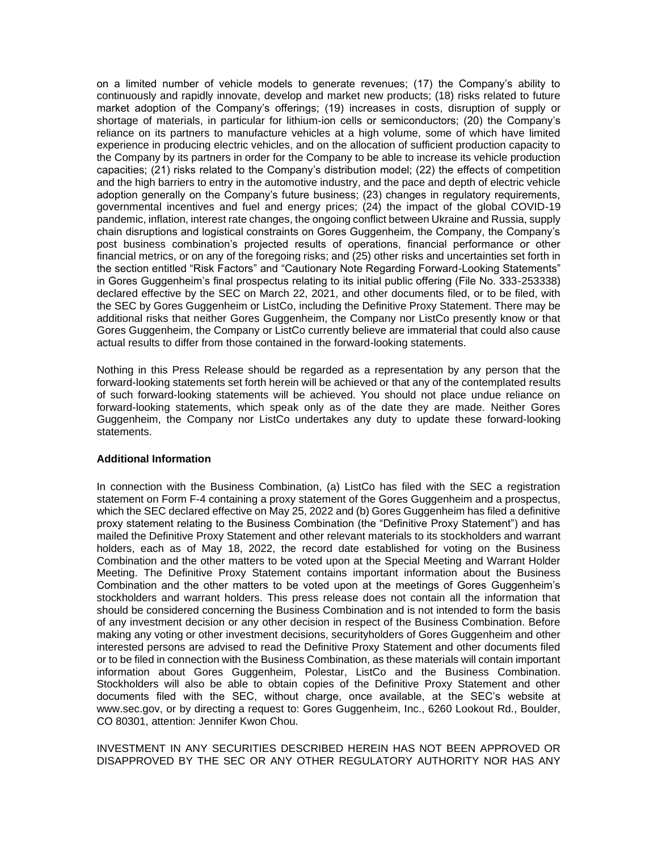on a limited number of vehicle models to generate revenues; (17) the Company's ability to continuously and rapidly innovate, develop and market new products; (18) risks related to future market adoption of the Company's offerings; (19) increases in costs, disruption of supply or shortage of materials, in particular for lithium-ion cells or semiconductors; (20) the Company's reliance on its partners to manufacture vehicles at a high volume, some of which have limited experience in producing electric vehicles, and on the allocation of sufficient production capacity to the Company by its partners in order for the Company to be able to increase its vehicle production capacities; (21) risks related to the Company's distribution model; (22) the effects of competition and the high barriers to entry in the automotive industry, and the pace and depth of electric vehicle adoption generally on the Company's future business; (23) changes in regulatory requirements, governmental incentives and fuel and energy prices; (24) the impact of the global COVID-19 pandemic, inflation, interest rate changes, the ongoing conflict between Ukraine and Russia, supply chain disruptions and logistical constraints on Gores Guggenheim, the Company, the Company's post business combination's projected results of operations, financial performance or other financial metrics, or on any of the foregoing risks; and (25) other risks and uncertainties set forth in the section entitled "Risk Factors" and "Cautionary Note Regarding Forward-Looking Statements" in Gores Guggenheim's final prospectus relating to its initial public offering (File No. 333-253338) declared effective by the SEC on March 22, 2021, and other documents filed, or to be filed, with the SEC by Gores Guggenheim or ListCo, including the Definitive Proxy Statement. There may be additional risks that neither Gores Guggenheim, the Company nor ListCo presently know or that Gores Guggenheim, the Company or ListCo currently believe are immaterial that could also cause actual results to differ from those contained in the forward-looking statements.

Nothing in this Press Release should be regarded as a representation by any person that the forward-looking statements set forth herein will be achieved or that any of the contemplated results of such forward-looking statements will be achieved. You should not place undue reliance on forward-looking statements, which speak only as of the date they are made. Neither Gores Guggenheim, the Company nor ListCo undertakes any duty to update these forward-looking statements.

# **Additional Information**

In connection with the Business Combination, (a) ListCo has filed with the SEC a registration statement on Form F-4 containing a proxy statement of the Gores Guggenheim and a prospectus, which the SEC declared effective on May 25, 2022 and (b) Gores Guggenheim has filed a definitive proxy statement relating to the Business Combination (the "Definitive Proxy Statement") and has mailed the Definitive Proxy Statement and other relevant materials to its stockholders and warrant holders, each as of May 18, 2022, the record date established for voting on the Business Combination and the other matters to be voted upon at the Special Meeting and Warrant Holder Meeting. The Definitive Proxy Statement contains important information about the Business Combination and the other matters to be voted upon at the meetings of Gores Guggenheim's stockholders and warrant holders. This press release does not contain all the information that should be considered concerning the Business Combination and is not intended to form the basis of any investment decision or any other decision in respect of the Business Combination. Before making any voting or other investment decisions, securityholders of Gores Guggenheim and other interested persons are advised to read the Definitive Proxy Statement and other documents filed or to be filed in connection with the Business Combination, as these materials will contain important information about Gores Guggenheim, Polestar, ListCo and the Business Combination. Stockholders will also be able to obtain copies of the Definitive Proxy Statement and other documents filed with the SEC, without charge, once available, at the SEC's website at www.sec.gov, or by directing a request to: Gores Guggenheim, Inc., 6260 Lookout Rd., Boulder, CO 80301, attention: Jennifer Kwon Chou.

INVESTMENT IN ANY SECURITIES DESCRIBED HEREIN HAS NOT BEEN APPROVED OR DISAPPROVED BY THE SEC OR ANY OTHER REGULATORY AUTHORITY NOR HAS ANY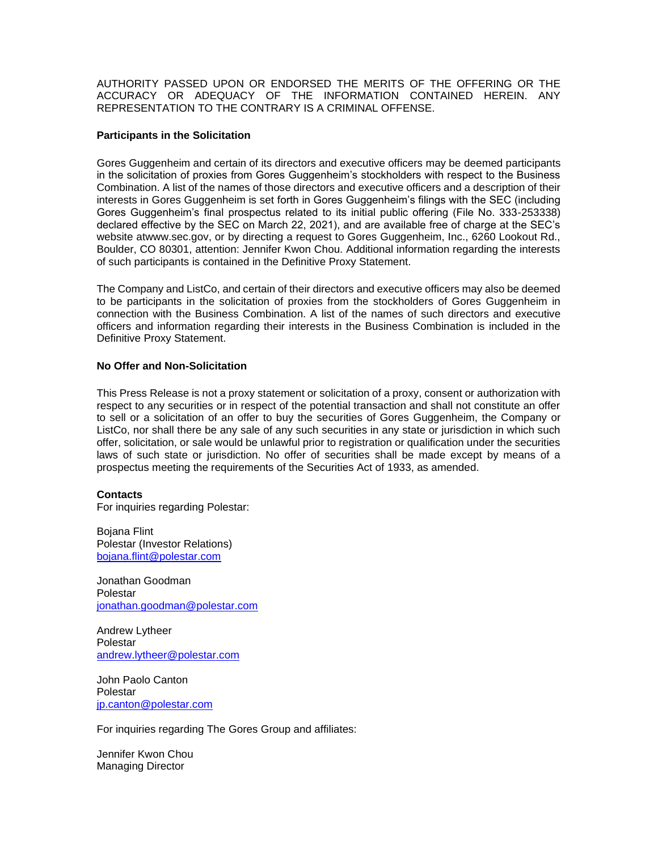AUTHORITY PASSED UPON OR ENDORSED THE MERITS OF THE OFFERING OR THE ACCURACY OR ADEQUACY OF THE INFORMATION CONTAINED HEREIN. ANY REPRESENTATION TO THE CONTRARY IS A CRIMINAL OFFENSE.

# **Participants in the Solicitation**

Gores Guggenheim and certain of its directors and executive officers may be deemed participants in the solicitation of proxies from Gores Guggenheim's stockholders with respect to the Business Combination. A list of the names of those directors and executive officers and a description of their interests in Gores Guggenheim is set forth in Gores Guggenheim's filings with the SEC (including Gores Guggenheim's final prospectus related to its initial public offering (File No. 333-253338) declared effective by the SEC on March 22, 2021), and are available free of charge at the SEC's website atwww.sec.gov, or by directing a request to Gores Guggenheim, Inc., 6260 Lookout Rd., Boulder, CO 80301, attention: Jennifer Kwon Chou. Additional information regarding the interests of such participants is contained in the Definitive Proxy Statement.

The Company and ListCo, and certain of their directors and executive officers may also be deemed to be participants in the solicitation of proxies from the stockholders of Gores Guggenheim in connection with the Business Combination. A list of the names of such directors and executive officers and information regarding their interests in the Business Combination is included in the Definitive Proxy Statement.

### **No Offer and Non-Solicitation**

This Press Release is not a proxy statement or solicitation of a proxy, consent or authorization with respect to any securities or in respect of the potential transaction and shall not constitute an offer to sell or a solicitation of an offer to buy the securities of Gores Guggenheim, the Company or ListCo, nor shall there be any sale of any such securities in any state or jurisdiction in which such offer, solicitation, or sale would be unlawful prior to registration or qualification under the securities laws of such state or jurisdiction. No offer of securities shall be made except by means of a prospectus meeting the requirements of the Securities Act of 1933, as amended.

#### **Contacts**

For inquiries regarding Polestar:

Bojana Flint Polestar (Investor Relations) [bojana.flint@polestar.com](mailto:bojana.flint@polestar.com)

Jonathan Goodman Polestar [jonathan.goodman@polestar.com](mailto:jonathan.goodman@polestar.com)

Andrew Lytheer Polestar [andrew.lytheer@polestar.com](mailto:andrew.lytheer@polestar.com)

John Paolo Canton Polestar [jp.canton@polestar.com](mailto:jp.canton@polestar.com)

For inquiries regarding The Gores Group and affiliates:

Jennifer Kwon Chou Managing Director